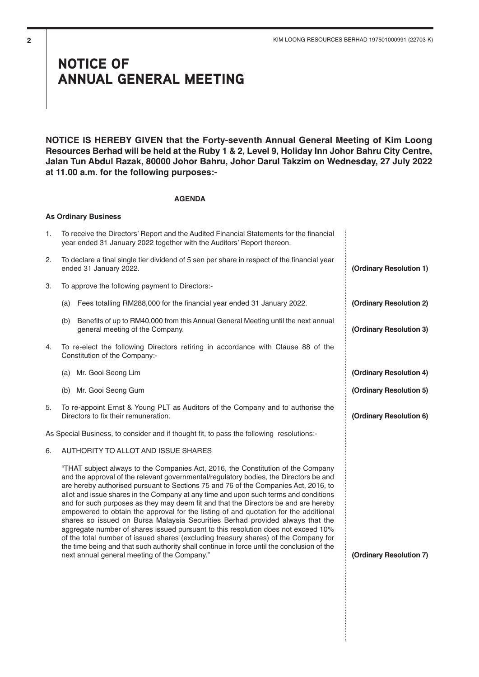## NOTICE OF ANNUAL GENERAL MEETING

**NOTICE IS HEREBY GIVEN that the Forty-seventh Annual General Meeting of Kim Loong Resources Berhad will be held at the Ruby 1 & 2, Level 9, Holiday Inn Johor Bahru City Centre, Jalan Tun Abdul Razak, 80000 Johor Bahru, Johor Darul Takzim on Wednesday, 27 July 2022 at 11.00 a.m. for the following purposes:-**

#### **AGENDA**

#### **As Ordinary Business**

| 1. | To receive the Directors' Report and the Audited Financial Statements for the financial<br>year ended 31 January 2022 together with the Auditors' Report thereon.                                                                                                                                                                                                                                                                                                                                                                                                                                                                                                                                                                                                                                                                                                                                                                                  |                         |
|----|----------------------------------------------------------------------------------------------------------------------------------------------------------------------------------------------------------------------------------------------------------------------------------------------------------------------------------------------------------------------------------------------------------------------------------------------------------------------------------------------------------------------------------------------------------------------------------------------------------------------------------------------------------------------------------------------------------------------------------------------------------------------------------------------------------------------------------------------------------------------------------------------------------------------------------------------------|-------------------------|
| 2. | To declare a final single tier dividend of 5 sen per share in respect of the financial year<br>ended 31 January 2022.                                                                                                                                                                                                                                                                                                                                                                                                                                                                                                                                                                                                                                                                                                                                                                                                                              | (Ordinary Resolution 1) |
| 3. | To approve the following payment to Directors:-                                                                                                                                                                                                                                                                                                                                                                                                                                                                                                                                                                                                                                                                                                                                                                                                                                                                                                    |                         |
|    | Fees totalling RM288,000 for the financial year ended 31 January 2022.<br>(a)                                                                                                                                                                                                                                                                                                                                                                                                                                                                                                                                                                                                                                                                                                                                                                                                                                                                      | (Ordinary Resolution 2) |
|    | Benefits of up to RM40,000 from this Annual General Meeting until the next annual<br>(b)<br>general meeting of the Company.                                                                                                                                                                                                                                                                                                                                                                                                                                                                                                                                                                                                                                                                                                                                                                                                                        | (Ordinary Resolution 3) |
| 4. | To re-elect the following Directors retiring in accordance with Clause 88 of the<br>Constitution of the Company:-                                                                                                                                                                                                                                                                                                                                                                                                                                                                                                                                                                                                                                                                                                                                                                                                                                  |                         |
|    | (a) Mr. Gooi Seong Lim                                                                                                                                                                                                                                                                                                                                                                                                                                                                                                                                                                                                                                                                                                                                                                                                                                                                                                                             | (Ordinary Resolution 4) |
|    | (b) Mr. Gooi Seong Gum                                                                                                                                                                                                                                                                                                                                                                                                                                                                                                                                                                                                                                                                                                                                                                                                                                                                                                                             | (Ordinary Resolution 5) |
| 5. | To re-appoint Ernst & Young PLT as Auditors of the Company and to authorise the<br>Directors to fix their remuneration.                                                                                                                                                                                                                                                                                                                                                                                                                                                                                                                                                                                                                                                                                                                                                                                                                            | (Ordinary Resolution 6) |
|    | As Special Business, to consider and if thought fit, to pass the following resolutions:-                                                                                                                                                                                                                                                                                                                                                                                                                                                                                                                                                                                                                                                                                                                                                                                                                                                           |                         |
| 6. | AUTHORITY TO ALLOT AND ISSUE SHARES                                                                                                                                                                                                                                                                                                                                                                                                                                                                                                                                                                                                                                                                                                                                                                                                                                                                                                                |                         |
|    | "THAT subject always to the Companies Act, 2016, the Constitution of the Company<br>and the approval of the relevant governmental/regulatory bodies, the Directors be and<br>are hereby authorised pursuant to Sections 75 and 76 of the Companies Act, 2016, to<br>allot and issue shares in the Company at any time and upon such terms and conditions<br>and for such purposes as they may deem fit and that the Directors be and are hereby<br>empowered to obtain the approval for the listing of and quotation for the additional<br>shares so issued on Bursa Malaysia Securities Berhad provided always that the<br>aggregate number of shares issued pursuant to this resolution does not exceed 10%<br>of the total number of issued shares (excluding treasury shares) of the Company for<br>the time being and that such authority shall continue in force until the conclusion of the<br>next annual general meeting of the Company." | (Ordinary Resolution 7) |
|    |                                                                                                                                                                                                                                                                                                                                                                                                                                                                                                                                                                                                                                                                                                                                                                                                                                                                                                                                                    |                         |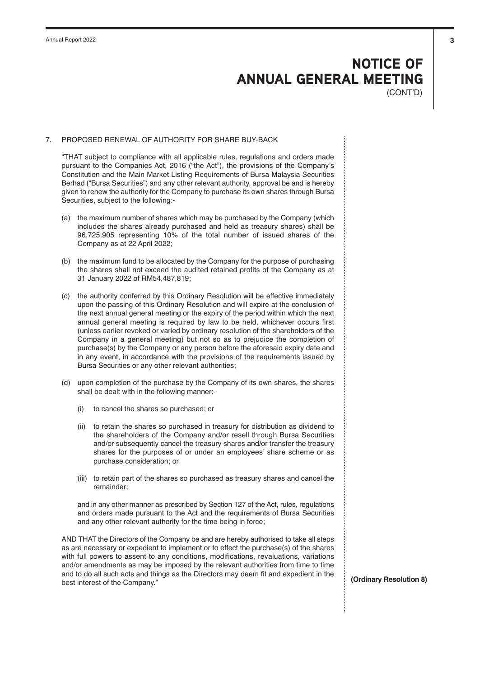# NOTICE OF ANNUAL GENERAL MEETING

(CONT'D)

#### 7. PROPOSED RENEWAL OF AUTHORITY FOR SHARE BUY-BACK

"THAT subject to compliance with all applicable rules, regulations and orders made pursuant to the Companies Act, 2016 ("the Act"), the provisions of the Company's Constitution and the Main Market Listing Requirements of Bursa Malaysia Securities Berhad ("Bursa Securities") and any other relevant authority, approval be and is hereby given to renew the authority for the Company to purchase its own shares through Bursa Securities, subject to the following:-

- (a) the maximum number of shares which may be purchased by the Company (which includes the shares already purchased and held as treasury shares) shall be 96,725,905 representing 10% of the total number of issued shares of the Company as at 22 April 2022;
- (b) the maximum fund to be allocated by the Company for the purpose of purchasing the shares shall not exceed the audited retained profits of the Company as at 31 January 2022 of RM54,487,819;
- (c) the authority conferred by this Ordinary Resolution will be effective immediately upon the passing of this Ordinary Resolution and will expire at the conclusion of the next annual general meeting or the expiry of the period within which the next annual general meeting is required by law to be held, whichever occurs first (unless earlier revoked or varied by ordinary resolution of the shareholders of the Company in a general meeting) but not so as to prejudice the completion of purchase(s) by the Company or any person before the aforesaid expiry date and in any event, in accordance with the provisions of the requirements issued by Bursa Securities or any other relevant authorities;
- (d) upon completion of the purchase by the Company of its own shares, the shares shall be dealt with in the following manner:-
	- (i) to cancel the shares so purchased; or
	- (ii) to retain the shares so purchased in treasury for distribution as dividend to the shareholders of the Company and/or resell through Bursa Securities and/or subsequently cancel the treasury shares and/or transfer the treasury shares for the purposes of or under an employees' share scheme or as purchase consideration; or
	- (iii) to retain part of the shares so purchased as treasury shares and cancel the remainder;

and in any other manner as prescribed by Section 127 of the Act, rules, regulations and orders made pursuant to the Act and the requirements of Bursa Securities and any other relevant authority for the time being in force;

AND THAT the Directors of the Company be and are hereby authorised to take all steps as are necessary or expedient to implement or to effect the purchase(s) of the shares with full powers to assent to any conditions, modifications, revaluations, variations and/or amendments as may be imposed by the relevant authorities from time to time and to do all such acts and things as the Directors may deem fit and expedient in the best interest of the Company." **(Ordinary Resolution 8)**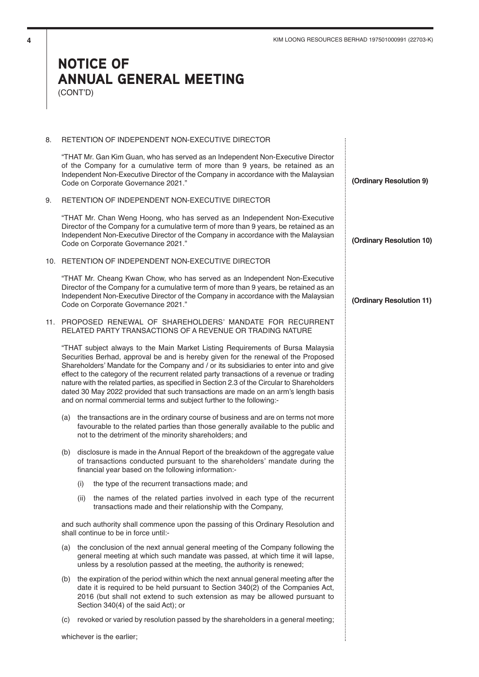### NOTICE OF ANNUAL GENERAL MEETING (CONT'D)

#### 8. RETENTION OF INDEPENDENT NON-EXECUTIVE DIRECTOR

"THAT Mr. Gan Kim Guan, who has served as an Independent Non-Executive Director of the Company for a cumulative term of more than 9 years, be retained as an Independent Non-Executive Director of the Company in accordance with the Malaysian Code on Corporate Governance 2021."

9. RETENTION OF INDEPENDENT NON-EXECUTIVE DIRECTOR

"THAT Mr. Chan Weng Hoong, who has served as an Independent Non-Executive Director of the Company for a cumulative term of more than 9 years, be retained as an Independent Non-Executive Director of the Company in accordance with the Malaysian Code on Corporate Governance 2021."

10. RETENTION OF INDEPENDENT NON-EXECUTIVE DIRECTOR

"THAT Mr. Cheang Kwan Chow, who has served as an Independent Non-Executive Director of the Company for a cumulative term of more than 9 years, be retained as an Independent Non-Executive Director of the Company in accordance with the Malaysian Code on Corporate Governance 2021."

11. PROPOSED RENEWAL OF SHAREHOLDERS' MANDATE FOR RECURRENT RELATED PARTY TRANSACTIONS OF A REVENUE OR TRADING NATURE

"THAT subject always to the Main Market Listing Requirements of Bursa Malaysia Securities Berhad, approval be and is hereby given for the renewal of the Proposed Shareholders' Mandate for the Company and / or its subsidiaries to enter into and give effect to the category of the recurrent related party transactions of a revenue or trading nature with the related parties, as specified in Section 2.3 of the Circular to Shareholders dated 30 May 2022 provided that such transactions are made on an arm's length basis and on normal commercial terms and subject further to the following:-

- (a) the transactions are in the ordinary course of business and are on terms not more favourable to the related parties than those generally available to the public and not to the detriment of the minority shareholders; and
- (b) disclosure is made in the Annual Report of the breakdown of the aggregate value of transactions conducted pursuant to the shareholders' mandate during the financial year based on the following information:-
	- (i) the type of the recurrent transactions made; and
	- (ii) the names of the related parties involved in each type of the recurrent transactions made and their relationship with the Company,

and such authority shall commence upon the passing of this Ordinary Resolution and shall continue to be in force until:-

- (a) the conclusion of the next annual general meeting of the Company following the general meeting at which such mandate was passed, at which time it will lapse, unless by a resolution passed at the meeting, the authority is renewed;
- (b) the expiration of the period within which the next annual general meeting after the date it is required to be held pursuant to Section 340(2) of the Companies Act, 2016 (but shall not extend to such extension as may be allowed pursuant to Section 340(4) of the said Act); or
- (c) revoked or varied by resolution passed by the shareholders in a general meeting;

whichever is the earlier;

**(Ordinary Resolution 9)**

**(Ordinary Resolution 10)**

**(Ordinary Resolution 11)**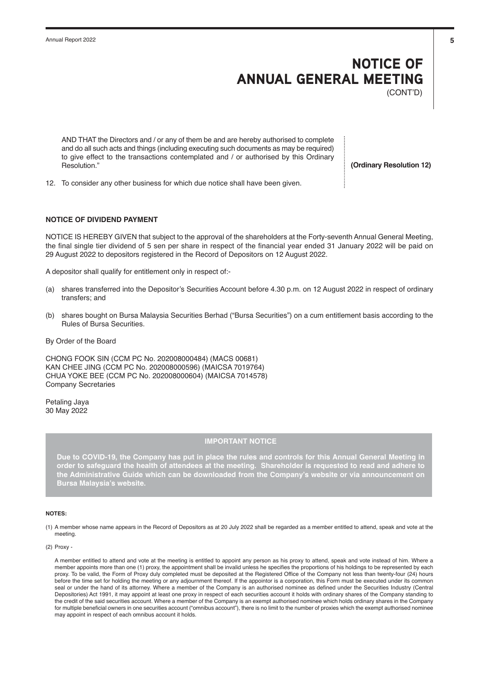# NOTICE OF ANNUAL GENERAL MEETING

(CONT'D)

AND THAT the Directors and / or any of them be and are hereby authorised to complete and do all such acts and things (including executing such documents as may be required) to give effect to the transactions contemplated and / or authorised by this Ordinary Resolution."

**(Ordinary Resolution 12)**

12. To consider any other business for which due notice shall have been given.

#### **NOTICE OF DIVIDEND PAYMENT**

NOTICE IS HEREBY GIVEN that subject to the approval of the shareholders at the Forty-seventh Annual General Meeting, the final single tier dividend of 5 sen per share in respect of the financial year ended 31 January 2022 will be paid on 29 August 2022 to depositors registered in the Record of Depositors on 12 August 2022.

A depositor shall qualify for entitlement only in respect of:-

- (a) shares transferred into the Depositor's Securities Account before 4.30 p.m. on 12 August 2022 in respect of ordinary transfers; and
- (b) shares bought on Bursa Malaysia Securities Berhad ("Bursa Securities") on a cum entitlement basis according to the Rules of Bursa Securities.
- By Order of the Board

CHONG FOOK SIN (CCM PC No. 202008000484) (MACS 00681) KAN CHEE JING (CCM PC No. 202008000596) (MAICSA 7019764) CHUA YOKE BEE (CCM PC No. 202008000604) (MAICSA 7014578) Company Secretaries

Petaling Jaya 30 May 2022

#### **IMPORTANT NOTICE**

**Due to COVID-19, the Company has put in place the rules and controls for this Annual General Meeting in order to safeguard the health of attendees at the meeting. Shareholder is requested to read and adhere to the Administrative Guide which can be downloaded from the Company's website or via announcement on Bursa Malaysia's website.** 

#### **NOTES:**

(1) A member whose name appears in the Record of Depositors as at 20 July 2022 shall be regarded as a member entitled to attend, speak and vote at the meeting.

(2) Proxy -

A member entitled to attend and vote at the meeting is entitled to appoint any person as his proxy to attend, speak and vote instead of him. Where a member appoints more than one (1) proxy, the appointment shall be invalid unless he specifies the proportions of his holdings to be represented by each proxy. To be valid, the Form of Proxy duly completed must be deposited at the Registered Office of the Company not less than twenty-four (24) hours before the time set for holding the meeting or any adjournment thereof. If the appointor is a corporation, this Form must be executed under its common seal or under the hand of its attorney. Where a member of the Company is an authorised nominee as defined under the Securities Industry (Central Depositories) Act 1991, it may appoint at least one proxy in respect of each securities account it holds with ordinary shares of the Company standing to the credit of the said securities account. Where a member of the Company is an exempt authorised nominee which holds ordinary shares in the Company for multiple beneficial owners in one securities account ("omnibus account"), there is no limit to the number of proxies which the exempt authorised nominee may appoint in respect of each omnibus account it holds.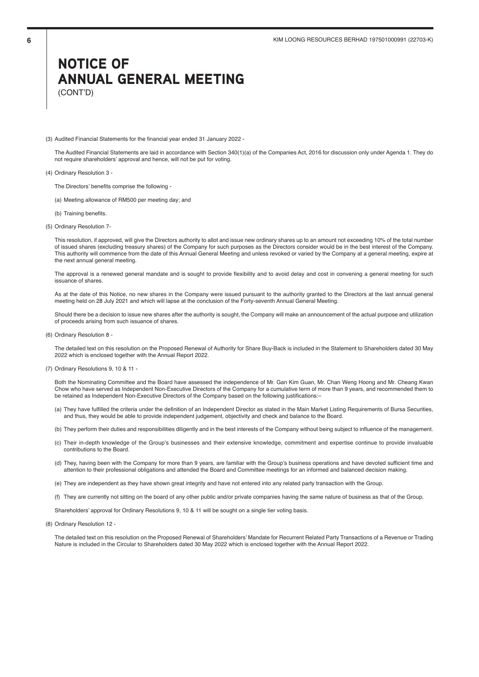### NOTICE OF ANNUAL GENERAL MEETING (CONT'D)

(3) Audited Financial Statements for the financial year ended 31 January 2022 -

The Audited Financial Statements are laid in accordance with Section 340(1)(a) of the Companies Act, 2016 for discussion only under Agenda 1. They do not require shareholders' approval and hence, will not be put for voting.

- (4) Ordinary Resolution 3
	- The Directors' benefits comprise the following -
	- (a) Meeting allowance of RM500 per meeting day; and
	- (b) Training benefits.
- (5) Ordinary Resolution 7-

This resolution, if approved, will give the Directors authority to allot and issue new ordinary shares up to an amount not exceeding 10% of the total number of issued shares (excluding treasury shares) of the Company for such purposes as the Directors consider would be in the best interest of the Company. This authority will commence from the date of this Annual General Meeting and unless revoked or varied by the Company at a general meeting, expire at the next annual general meeting.

The approval is a renewed general mandate and is sought to provide flexibility and to avoid delay and cost in convening a general meeting for such issuance of shares.

As at the date of this Notice, no new shares in the Company were issued pursuant to the authority granted to the Directors at the last annual general meeting held on 28 July 2021 and which will lapse at the conclusion of the Forty-seventh Annual General Meeting.

Should there be a decision to issue new shares after the authority is sought, the Company will make an announcement of the actual purpose and utilization of proceeds arising from such issuance of shares.

(6) Ordinary Resolution 8 -

The detailed text on this resolution on the Proposed Renewal of Authority for Share Buy-Back is included in the Statement to Shareholders dated 30 May 2022 which is enclosed together with the Annual Report 2022.

(7) Ordinary Resolutions 9, 10 & 11 -

Both the Nominating Committee and the Board have assessed the independence of Mr. Gan Kim Guan, Mr. Chan Weng Hoong and Mr. Cheang Kwan Chow who have served as Independent Non-Executive Directors of the Company for a cumulative term of more than 9 years, and recommended them to be retained as Independent Non-Executive Directors of the Company based on the following justifications:–

- (a) They have fulfilled the criteria under the definition of an Independent Director as stated in the Main Market Listing Requirements of Bursa Securities, and thus, they would be able to provide independent judgement, objectivity and check and balance to the Board.
- (b) They perform their duties and responsibilities diligently and in the best interests of the Company without being subject to influence of the management.
- (c) Their in-depth knowledge of the Group's businesses and their extensive knowledge, commitment and expertise continue to provide invaluable contributions to the Board.
- (d) They, having been with the Company for more than 9 years, are familiar with the Group's business operations and have devoted sufficient time and attention to their professional obligations and attended the Board and Committee meetings for an informed and balanced decision making.
- (e) They are independent as they have shown great integrity and have not entered into any related party transaction with the Group.
- (f) They are currently not sitting on the board of any other public and/or private companies having the same nature of business as that of the Group.

Shareholders' approval for Ordinary Resolutions 9, 10 & 11 will be sought on a single tier voting basis.

(8) Ordinary Resolution 12 -

The detailed text on this resolution on the Proposed Renewal of Shareholders' Mandate for Recurrent Related Party Transactions of a Revenue or Trading Nature is included in the Circular to Shareholders dated 30 May 2022 which is enclosed together with the Annual Report 2022.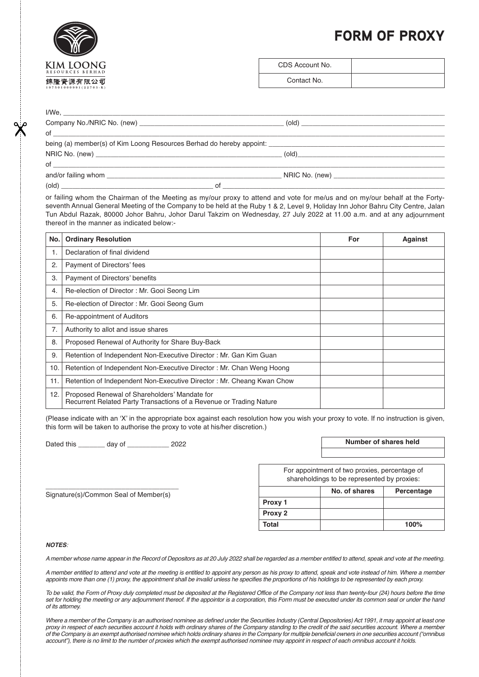## FORM OF PROXY



| CDS Account No. |  |
|-----------------|--|
| Contact No.     |  |

#### I/We, \_\_\_\_\_\_\_\_\_\_\_\_\_\_\_\_\_\_\_\_\_\_\_\_\_\_\_\_\_\_\_\_\_\_\_\_\_\_\_\_\_\_\_\_\_\_\_\_\_\_\_\_\_\_\_\_\_\_\_\_\_\_\_\_\_\_\_\_\_\_\_\_\_\_\_\_\_\_\_\_\_\_\_\_\_\_\_\_\_\_\_\_\_\_\_\_\_\_\_\_\_

|  |    | $\left( \text{old} \right)$               |  |
|--|----|-------------------------------------------|--|
|  |    |                                           |  |
|  |    |                                           |  |
|  |    |                                           |  |
|  |    |                                           |  |
|  |    | NRIC No. (new) __________________________ |  |
|  | of |                                           |  |

or failing whom the Chairman of the Meeting as my/our proxy to attend and vote for me/us and on my/our behalf at the Fortyseventh Annual General Meeting of the Company to be held at the Ruby 1 & 2, Level 9, Holiday Inn Johor Bahru City Centre, Jalan Tun Abdul Razak, 80000 Johor Bahru, Johor Darul Takzim on Wednesday, 27 July 2022 at 11.00 a.m. and at any adjournment thereof in the manner as indicated below:-

| No. | <b>Ordinary Resolution</b>                                                                                           | For | <b>Against</b> |
|-----|----------------------------------------------------------------------------------------------------------------------|-----|----------------|
| 1.  | Declaration of final dividend                                                                                        |     |                |
| 2.  | Payment of Directors' fees                                                                                           |     |                |
| 3.  | Payment of Directors' benefits                                                                                       |     |                |
| 4.  | Re-election of Director: Mr. Gooi Seong Lim                                                                          |     |                |
| 5.  | Re-election of Director: Mr. Gooi Seong Gum                                                                          |     |                |
| 6.  | Re-appointment of Auditors                                                                                           |     |                |
| 7.  | Authority to allot and issue shares                                                                                  |     |                |
| 8.  | Proposed Renewal of Authority for Share Buy-Back                                                                     |     |                |
| 9.  | Retention of Independent Non-Executive Director: Mr. Gan Kim Guan                                                    |     |                |
| 10. | Retention of Independent Non-Executive Director: Mr. Chan Weng Hoong                                                 |     |                |
| 11. | Retention of Independent Non-Executive Director: Mr. Cheang Kwan Chow                                                |     |                |
| 12. | Proposed Renewal of Shareholders' Mandate for<br>Recurrent Related Party Transactions of a Revenue or Trading Nature |     |                |

(Please indicate with an 'X' in the appropriate box against each resolution how you wish your proxy to vote. If no instruction is given, this form will be taken to authorise the proxy to vote at his/her discretion.)

Dated this \_\_\_\_\_\_\_ day of \_\_\_\_\_\_\_\_\_\_\_ 2022

\_\_\_\_\_\_\_\_\_\_\_\_\_\_\_\_\_\_\_\_\_\_\_\_\_\_\_\_\_\_\_\_\_\_\_ Signature(s)/Common Seal of Member(s)

**Number of shares held**

For appointment of two proxies, percentage of shareholdings to be represented by proxies:

|         | No. of shares | Percentage |
|---------|---------------|------------|
| Proxy 1 |               |            |
| Proxy 2 |               |            |
| Total   |               | 100%       |

#### **NOTES**:

A member whose name appear in the Record of Depositors as at 20 July 2022 shall be regarded as a member entitled to attend, speak and vote at the meeting.

A member entitled to attend and vote at the meeting is entitled to appoint any person as his proxy to attend, speak and vote instead of him. Where a member appoints more than one (1) proxy, the appointment shall be invalid unless he specifies the proportions of his holdings to be represented by each proxy.

To be valid, the Form of Proxy duly completed must be deposited at the Registered Office of the Company not less than twenty-four (24) hours before the time set for holding the meeting or any adjournment thereof. If the appointor is a corporation, this Form must be executed under its common seal or under the hand of its attorney.

Where a member of the Company is an authorised nominee as defined under the Securities Industry (Central Depositories) Act 1991, it may appoint at least one proxy in respect of each securities account it holds with ordinary shares of the Company standing to the credit of the said securities account. Where a member of the Company is an exempt authorised nominee which holds ordinary shares in the Company for multiple beneficial owners in one securities account ("omnibus account"), there is no limit to the number of proxies which the exempt authorised nominee may appoint in respect of each omnibus account it holds.